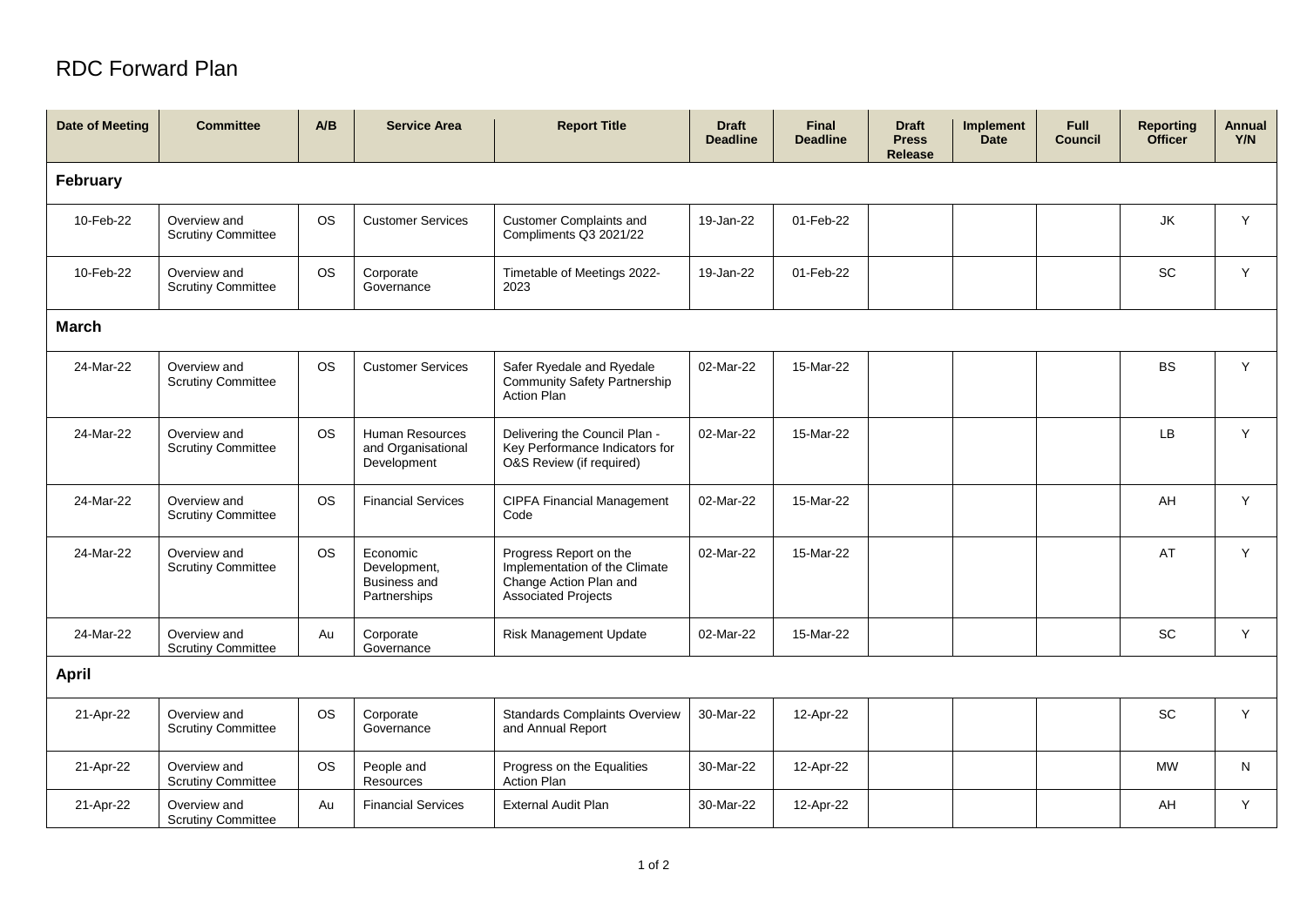## RDC Forward Plan

| <b>Date of Meeting</b> | <b>Committee</b>                          | A/B       | <b>Service Area</b>                                             | <b>Report Title</b>                                                                                             | <b>Draft</b><br><b>Deadline</b> | Final<br><b>Deadline</b> | <b>Draft</b><br><b>Press</b><br>Release | Implement<br><b>Date</b> | <b>Full</b><br><b>Council</b> | <b>Reporting</b><br><b>Officer</b> | Annual<br>Y/N |
|------------------------|-------------------------------------------|-----------|-----------------------------------------------------------------|-----------------------------------------------------------------------------------------------------------------|---------------------------------|--------------------------|-----------------------------------------|--------------------------|-------------------------------|------------------------------------|---------------|
| February               |                                           |           |                                                                 |                                                                                                                 |                                 |                          |                                         |                          |                               |                                    |               |
| 10-Feb-22              | Overview and<br><b>Scrutiny Committee</b> | <b>OS</b> | <b>Customer Services</b>                                        | <b>Customer Complaints and</b><br>Compliments Q3 2021/22                                                        | 19-Jan-22                       | 01-Feb-22                |                                         |                          |                               | JK                                 | Y             |
| 10-Feb-22              | Overview and<br><b>Scrutiny Committee</b> | <b>OS</b> | Corporate<br>Governance                                         | Timetable of Meetings 2022-<br>2023                                                                             | 19-Jan-22                       | 01-Feb-22                |                                         |                          |                               | <b>SC</b>                          | Y             |
| <b>March</b>           |                                           |           |                                                                 |                                                                                                                 |                                 |                          |                                         |                          |                               |                                    |               |
| 24-Mar-22              | Overview and<br><b>Scrutiny Committee</b> | <b>OS</b> | <b>Customer Services</b>                                        | Safer Ryedale and Ryedale<br><b>Community Safety Partnership</b><br><b>Action Plan</b>                          | 02-Mar-22                       | 15-Mar-22                |                                         |                          |                               | <b>BS</b>                          | Y             |
| 24-Mar-22              | Overview and<br><b>Scrutiny Committee</b> | <b>OS</b> | Human Resources<br>and Organisational<br>Development            | Delivering the Council Plan -<br>Key Performance Indicators for<br>O&S Review (if required)                     | 02-Mar-22                       | 15-Mar-22                |                                         |                          |                               | <b>LB</b>                          | Y             |
| 24-Mar-22              | Overview and<br><b>Scrutiny Committee</b> | <b>OS</b> | <b>Financial Services</b>                                       | <b>CIPFA Financial Management</b><br>Code                                                                       | 02-Mar-22                       | 15-Mar-22                |                                         |                          |                               | AH                                 | Y             |
| 24-Mar-22              | Overview and<br><b>Scrutiny Committee</b> | <b>OS</b> | Economic<br>Development,<br><b>Business and</b><br>Partnerships | Progress Report on the<br>Implementation of the Climate<br>Change Action Plan and<br><b>Associated Projects</b> | 02-Mar-22                       | 15-Mar-22                |                                         |                          |                               | AT                                 | Y             |
| 24-Mar-22              | Overview and<br><b>Scrutiny Committee</b> | Au        | Corporate<br>Governance                                         | Risk Management Update                                                                                          | 02-Mar-22                       | 15-Mar-22                |                                         |                          |                               | SC                                 | Y             |
| <b>April</b>           |                                           |           |                                                                 |                                                                                                                 |                                 |                          |                                         |                          |                               |                                    |               |
| 21-Apr-22              | Overview and<br><b>Scrutiny Committee</b> | <b>OS</b> | Corporate<br>Governance                                         | <b>Standards Complaints Overview</b><br>and Annual Report                                                       | 30-Mar-22                       | 12-Apr-22                |                                         |                          |                               | SC                                 | Y             |
| 21-Apr-22              | Overview and<br><b>Scrutiny Committee</b> | <b>OS</b> | People and<br>Resources                                         | Progress on the Equalities<br><b>Action Plan</b>                                                                | 30-Mar-22                       | 12-Apr-22                |                                         |                          |                               | <b>MW</b>                          | N             |
| 21-Apr-22              | Overview and<br><b>Scrutiny Committee</b> | Au        | <b>Financial Services</b>                                       | <b>External Audit Plan</b>                                                                                      | 30-Mar-22                       | 12-Apr-22                |                                         |                          |                               | AH                                 | Y             |